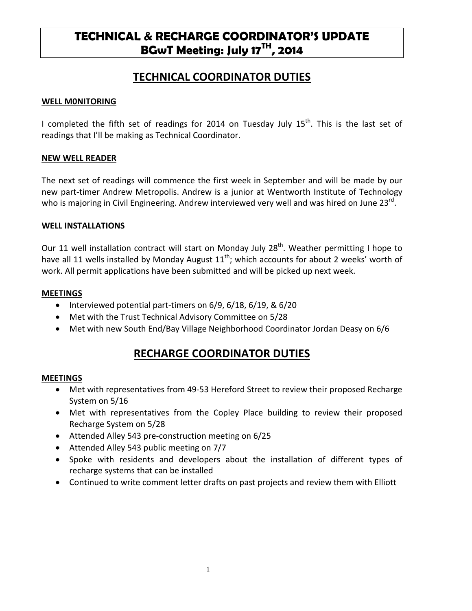# **TECHNICAL & RECHARGE COORDINATOR'S UPDATE BGwT Meeting: July 17TH, 2014**

## **TECHNICAL COORDINATOR DUTIES**

#### **WELL M0NITORING**

I completed the fifth set of readings for 2014 on Tuesday July  $15<sup>th</sup>$ . This is the last set of readings that I'll be making as Technical Coordinator.

#### **NEW WELL READER**

The next set of readings will commence the first week in September and will be made by our new part-timer Andrew Metropolis. Andrew is a junior at Wentworth Institute of Technology who is majoring in Civil Engineering. Andrew interviewed very well and was hired on June 23<sup>rd</sup>.

#### **WELL INSTALLATIONS**

Our 11 well installation contract will start on Monday July  $28<sup>th</sup>$ . Weather permitting I hope to have all 11 wells installed by Monday August  $11^{th}$ ; which accounts for about 2 weeks' worth of work. All permit applications have been submitted and will be picked up next week.

#### **MEETINGS**

- Interviewed potential part-timers on 6/9, 6/18, 6/19, & 6/20
- Met with the Trust Technical Advisory Committee on 5/28
- Met with new South End/Bay Village Neighborhood Coordinator Jordan Deasy on 6/6

## **RECHARGE COORDINATOR DUTIES**

#### **MEETINGS**

- Met with representatives from 49-53 Hereford Street to review their proposed Recharge System on 5/16
- Met with representatives from the Copley Place building to review their proposed Recharge System on 5/28
- Attended Alley 543 pre-construction meeting on 6/25
- Attended Alley 543 public meeting on 7/7
- Spoke with residents and developers about the installation of different types of recharge systems that can be installed
- Continued to write comment letter drafts on past projects and review them with Elliott